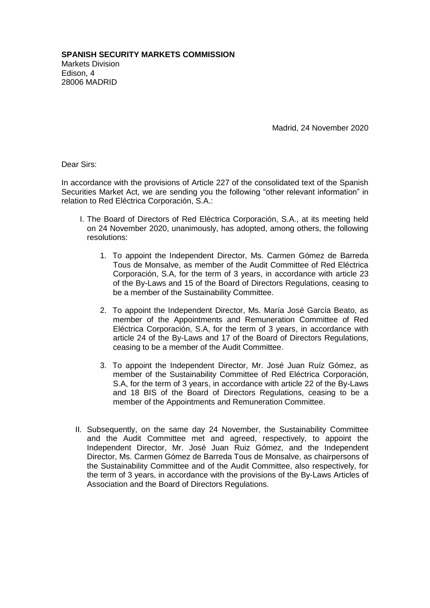Madrid, 24 November 2020

Dear Sirs:

In accordance with the provisions of Article 227 of the consolidated text of the Spanish Securities Market Act, we are sending you the following "other relevant information" in relation to Red Eléctrica Corporación, S.A.:

- I. The Board of Directors of Red Eléctrica Corporación, S.A., at its meeting held on 24 November 2020, unanimously, has adopted, among others, the following resolutions:
	- 1. To appoint the Independent Director, Ms. Carmen Gómez de Barreda Tous de Monsalve, as member of the Audit Committee of Red Eléctrica Corporación, S.A, for the term of 3 years, in accordance with article 23 of the By-Laws and 15 of the Board of Directors Regulations, ceasing to be a member of the Sustainability Committee.
	- 2. To appoint the Independent Director, Ms. María José García Beato, as member of the Appointments and Remuneration Committee of Red Eléctrica Corporación, S.A, for the term of 3 years, in accordance with article 24 of the By-Laws and 17 of the Board of Directors Regulations, ceasing to be a member of the Audit Committee.
	- 3. To appoint the Independent Director, Mr. José Juan Ruíz Gómez, as member of the Sustainability Committee of Red Eléctrica Corporación, S.A, for the term of 3 years, in accordance with article 22 of the By-Laws and 18 BIS of the Board of Directors Regulations, ceasing to be a member of the Appointments and Remuneration Committee.
- II. Subsequently, on the same day 24 November, the Sustainability Committee and the Audit Committee met and agreed, respectively, to appoint the Independent Director, Mr. José Juan Ruiz Gómez, and the Independent Director, Ms. Carmen Gómez de Barreda Tous de Monsalve, as chairpersons of the Sustainability Committee and of the Audit Committee, also respectively, for the term of 3 years, in accordance with the provisions of the By-Laws Articles of Association and the Board of Directors Regulations.